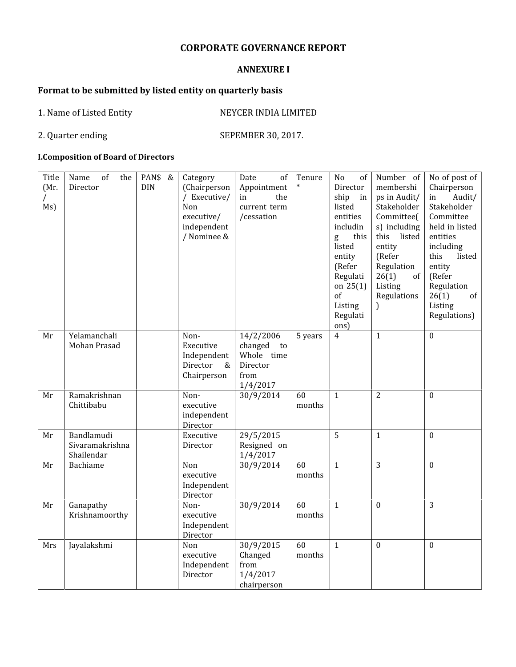## **CORPORATE GOVERNANCE REPORT**

#### **ANNEXURE I**

## **Format to be submitted by listed entity on quarterly basis**

# 1. Name of Listed Entity NEYCER INDIA LIMITED

2. Quarter ending SEPEMBER 30, 2017.

### **I.Composition of Board of Directors**

| Title<br>(Mr.<br>Ms) | Name<br>of<br>the<br>Director               | PAN\$ &<br><b>DIN</b> | Category<br>(Chairperson<br>/ Executive/<br>Non<br>executive/<br>independent<br>/ Nominee & | of<br>Date<br>Appointment<br>in<br>the<br>current term<br>/cessation  | Tenure<br>$\ast$ | No<br>of<br>Director<br>ship<br>in<br>listed<br>entities<br>includin<br>this<br>g<br>listed<br>entity<br>(Refer<br>Regulati<br>on $25(1)$<br>of<br>Listing<br>Regulati<br>ons) | Number of<br>membershi<br>ps in Audit/<br>Stakeholder<br>Committee(<br>s) including<br>this listed<br>entity<br>(Refer<br>Regulation<br>26(1)<br>of<br>Listing<br>Regulations<br>$\mathcal{L}$ | No of post of<br>Chairperson<br>Audit/<br>in<br>Stakeholder<br>Committee<br>held in listed<br>entities<br>including<br>this<br>listed<br>entity<br>(Refer<br>Regulation<br>26(1)<br>of<br>Listing<br>Regulations) |
|----------------------|---------------------------------------------|-----------------------|---------------------------------------------------------------------------------------------|-----------------------------------------------------------------------|------------------|--------------------------------------------------------------------------------------------------------------------------------------------------------------------------------|------------------------------------------------------------------------------------------------------------------------------------------------------------------------------------------------|-------------------------------------------------------------------------------------------------------------------------------------------------------------------------------------------------------------------|
| Mr                   | Yelamanchali<br>Mohan Prasad                |                       | Non-<br>Executive<br>Independent<br>Director<br>$\&$<br>Chairperson                         | 14/2/2006<br>changed to<br>Whole time<br>Director<br>from<br>1/4/2017 | 5 years          | $\overline{4}$                                                                                                                                                                 | $\mathbf{1}$                                                                                                                                                                                   | $\boldsymbol{0}$                                                                                                                                                                                                  |
| Mr                   | Ramakrishnan<br>Chittibabu                  |                       | Non-<br>executive<br>independent<br>Director                                                | 30/9/2014                                                             | 60<br>months     | $\mathbf{1}$                                                                                                                                                                   | $\overline{2}$                                                                                                                                                                                 | $\mathbf{0}$                                                                                                                                                                                                      |
| Mr                   | Bandlamudi<br>Sivaramakrishna<br>Shailendar |                       | Executive<br>Director                                                                       | 29/5/2015<br>Resigned on<br>1/4/2017                                  |                  | 5                                                                                                                                                                              | $\mathbf{1}$                                                                                                                                                                                   | $\mathbf{0}$                                                                                                                                                                                                      |
| Mr                   | Bachiame                                    |                       | Non<br>executive<br>Independent<br>Director                                                 | 30/9/2014                                                             | 60<br>months     | $\mathbf{1}$                                                                                                                                                                   | $\overline{3}$                                                                                                                                                                                 | $\mathbf{0}$                                                                                                                                                                                                      |
| Mr                   | Ganapathy<br>Krishnamoorthy                 |                       | Non-<br>executive<br>Independent<br>Director                                                | 30/9/2014                                                             | 60<br>months     | $\mathbf{1}$                                                                                                                                                                   | $\mathbf{0}$                                                                                                                                                                                   | 3                                                                                                                                                                                                                 |
| Mrs                  | Jayalakshmi                                 |                       | Non<br>executive<br>Independent<br>Director                                                 | 30/9/2015<br>Changed<br>from<br>1/4/2017<br>chairperson               | 60<br>months     | $\mathbf{1}$                                                                                                                                                                   | $\boldsymbol{0}$                                                                                                                                                                               | $\mathbf{0}$                                                                                                                                                                                                      |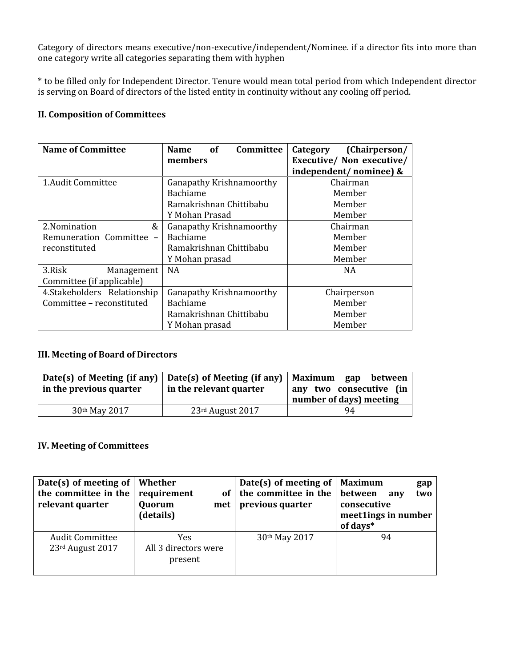Category of directors means executive/non-executive/independent/Nominee. if a director fits into more than one category write all categories separating them with hyphen

\* to be filled only for Independent Director. Tenure would mean total period from which Independent director is serving on Board of directors of the listed entity in continuity without any cooling off period.

### **II. Composition of Committees**

| <b>Name of Committee</b>                           | of<br>Committee<br><b>Name</b> | (Chairperson/<br>Category                           |  |
|----------------------------------------------------|--------------------------------|-----------------------------------------------------|--|
|                                                    | members                        | Executive/ Non executive/<br>independent/nominee) & |  |
| 1. Audit Committee                                 | Ganapathy Krishnamoorthy       | Chairman                                            |  |
|                                                    | Bachiame                       | Member                                              |  |
|                                                    | Ramakrishnan Chittibabu        | Member                                              |  |
|                                                    | Y Mohan Prasad                 | Member                                              |  |
| 2. Nomination<br>&                                 | Ganapathy Krishnamoorthy       | Chairman                                            |  |
| Remuneration Committee<br>$\overline{\phantom{0}}$ | Bachiame                       | Member                                              |  |
| reconstituted                                      | Ramakrishnan Chittibabu        | Member                                              |  |
|                                                    | Y Mohan prasad                 | Member                                              |  |
| 3.Risk<br>Management                               | <b>NA</b>                      | NA                                                  |  |
| Committee (if applicable)                          |                                |                                                     |  |
| 4.Stakeholders Relationship                        | Ganapathy Krishnamoorthy       | Chairperson                                         |  |
| Committee - reconstituted                          | Bachiame                       | Member                                              |  |
|                                                    | Ramakrishnan Chittibabu        | Member                                              |  |
|                                                    | Y Mohan prasad                 | Member                                              |  |

### **III. Meeting of Board of Directors**

| Date(s) of Meeting (if any)<br>in the previous quarter | Date(s) of Meeting (if any)   Maximum gap<br>in the relevant quarter | between<br>any two consecutive (in<br>number of days) meeting |
|--------------------------------------------------------|----------------------------------------------------------------------|---------------------------------------------------------------|
| 30th May 2017                                          | $23$ <sup>rd</sup> August 2017                                       | 94                                                            |

#### **IV. Meeting of Committees**

| Date(s) of meeting of $\vert$<br>the committee in the<br>relevant quarter | Whether<br>requirement<br>оf<br>Quorum<br>met<br>(details) | Date(s) of meeting of $\vert$<br>the committee in the<br>previous quarter | <b>Maximum</b><br>gap<br>between<br>two<br>anv<br>consecutive<br>meet1ings in number<br>of days* |
|---------------------------------------------------------------------------|------------------------------------------------------------|---------------------------------------------------------------------------|--------------------------------------------------------------------------------------------------|
| <b>Audit Committee</b><br>23rd August 2017                                | Yes.<br>All 3 directors were<br>present                    | 30th May 2017                                                             | 94                                                                                               |